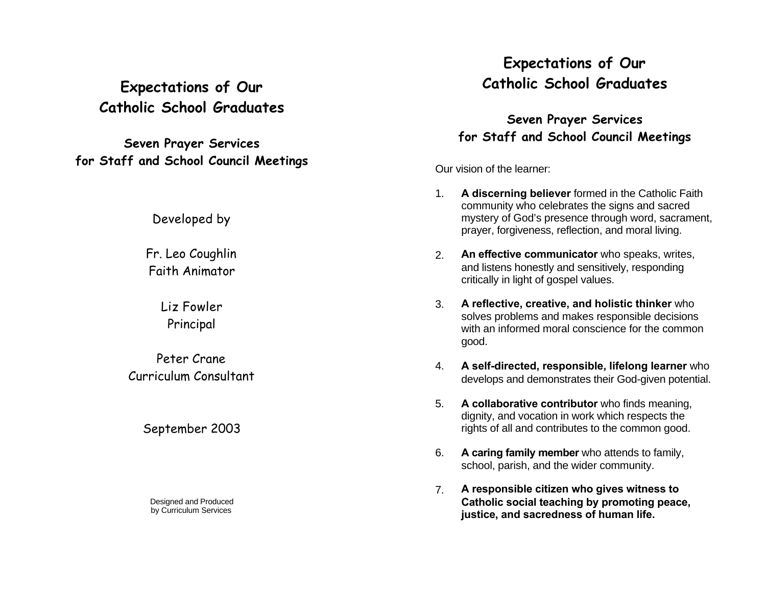# **Expectations of Our Catholic School Graduates**

**Seven Prayer Services for Staff and School Council Meetings**

Developed by

Fr. Leo Coughlin Faith Animator

> Liz Fowler Principal

Peter Crane Curriculum Consultant

September 2003

Designed and Produced by Curriculum Services

# **Expectations of Our Catholic School Graduates**

**Seven Prayer Services for Staff and School Council Meetings**

Our vision of the learner:

- 1. **A discerning believer** formed in the Catholic Faith community who celebrates the signs and sacred mystery of God's presence through word, sacrament, prayer, forgiveness, reflection, and moral living.
- 2. **An effective communicator** who speaks, writes, and listens honestly and sensitively, responding critically in light of gospel values.
- 3. **A reflective, creative, and holistic thinker** who solves problems and makes responsible decisions with an informed moral conscience for the common good.
- 4. **A self-directed, responsible, lifelong learner** who develops and demonstrates their God-given potential.
- 5. **A collaborative contributor** who finds meaning, dignity, and vocation in work which respects the rights of all and contributes to the common good.
- 6. **A caring family member** who attends to family, school, parish, and the wider community.
- 7. **A responsible citizen who gives witness to Catholic social teaching by promoting peace, justice, and sacredness of human life.**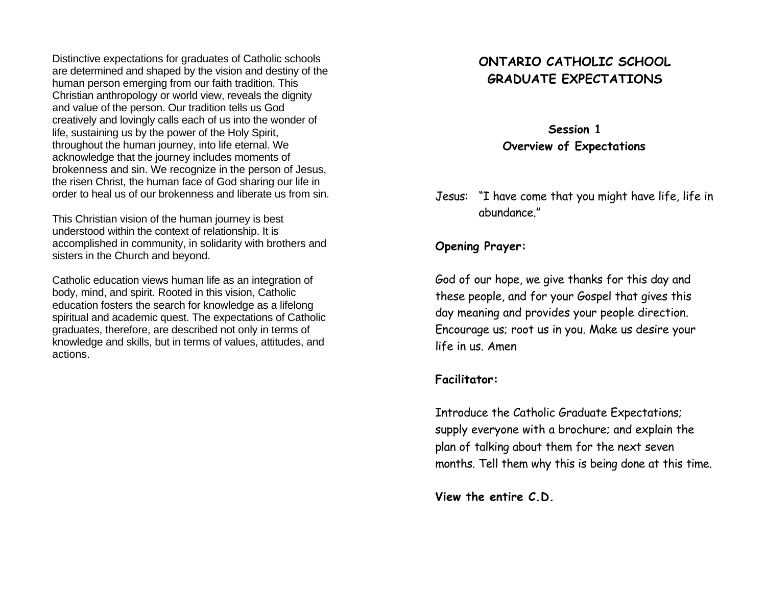Distinctive expectations for graduates of Catholic schools are determined and shaped by the vision and destiny of the human person emerging from our faith tradition. This Christian anthropology or world view, reveals the dignity and value of the person. Our tradition tells us God creatively and lovingly calls each of us into the wonder of life, sustaining us by the power of the Holy Spirit, throughout the human journey, into life eternal. We acknowledge that the journey includes moments of brokenness and sin. We recognize in the person of Jesus, the risen Christ, the human face of God sharing our life in order to heal us of our brokenness and liberate us from sin.

This Christian vision of the human journey is best understood within the context of relationship. It is accomplished in community, in solidarity with brothers and sisters in the Church and beyond.

Catholic education views human life as an integration of body, mind, and spirit. Rooted in this vision, Catholic education fosters the search for knowledge as a lifelong spiritual and academic quest. The expectations of Catholic graduates, therefore, are described not only in terms of knowledge and skills, but in terms of values, attitudes, and actions.

## **ONTARIO CATHOLIC SCHOOL GRADUATE EXPECTATIONS**

**Session 1 Overview of Expectations**

Jesus: "I have come that you might have life, life in abundance."

### **Opening Prayer:**

God of our hope, we give thanks for this day and these people, and for your Gospel that gives this day meaning and provides your people direction. Encourage us; root us in you. Make us desire your life in us. Amen

### **Facilitator:**

Introduce the Catholic Graduate Expectations; supply everyone with a brochure; and explain the plan of talking about them for the next seven months. Tell them why this is being done at this time.

**View the entire C.D.**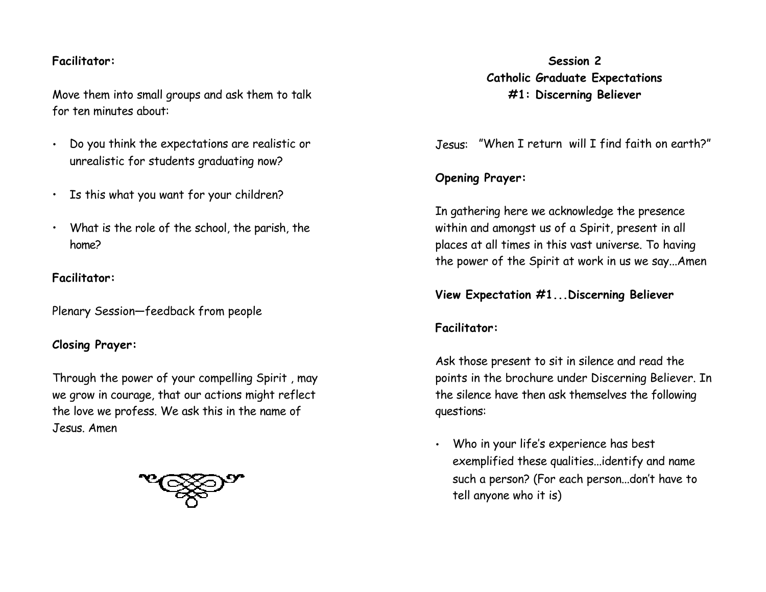### **Facilitator:**

Move them into small groups and ask them to talk for ten minutes about:

- Do you think the expectations are realistic or unrealistic for students graduating now?
- Is this what you want for your children?
- What is the role of the school, the parish, the home?

## **Facilitator:**

Plenary Session—feedback from people

## **Closing Prayer:**

Through the power of your compelling Spirit , may we grow in courage, that our actions might reflect the love we profess. We ask this in the name of Jesus. Amen



**Session 2 Catholic Graduate Expectations #1: Discerning Believer**

Jesus: "When I return will I find faith on earth?"

## **Opening Prayer:**

In gathering here we acknowledge the presence within and amongst us of a Spirit, present in all places at all times in this vast universe. To having the power of the Spirit at work in us we say...Amen

**View Expectation #1...Discerning Believer**

## **Facilitator:**

Ask those present to sit in silence and read the points in the brochure under Discerning Believer. In the silence have then ask themselves the following questions:

• Who in your life's experience has best exemplified these qualities...identify and name such a person? (For each person...don't have to tell anyone who it is)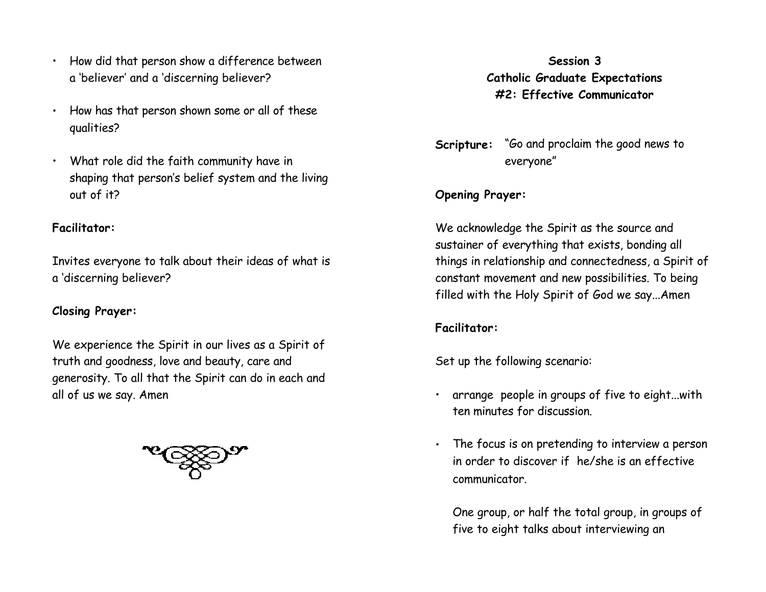- How did that person show a difference between a 'believer' and a 'discerning believer?
- How has that person shown some or all of these qualities?
- What role did the faith community have in shaping that person's belief system and the living out of it?

### **Facilitator:**

Invites everyone to talk about their ideas of what is a 'discerning believer?

## **Closing Prayer:**

We experience the Spirit in our lives as a Spirit of truth and goodness, love and beauty, care and generosity. To all that the Spirit can do in each and all of us we say. Amen



**Session 3 Catholic Graduate Expectations #2: Effective Communicator**

**Scripture:** "Go and proclaim the good news to everyone"

### **Opening Prayer:**

We acknowledge the Spirit as the source and sustainer of everything that exists, bonding all things in relationship and connectedness, a Spirit of constant movement and new possibilities. To being filled with the Holy Spirit of God we say...Amen

## **Facilitator:**

Set up the following scenario:

- arrange people in groups of five to eight...with ten minutes for discussion.
- The focus is on pretending to interview a person in order to discover if he/she is an effective communicator.

One group, or half the total group, in groups of five to eight talks about interviewing an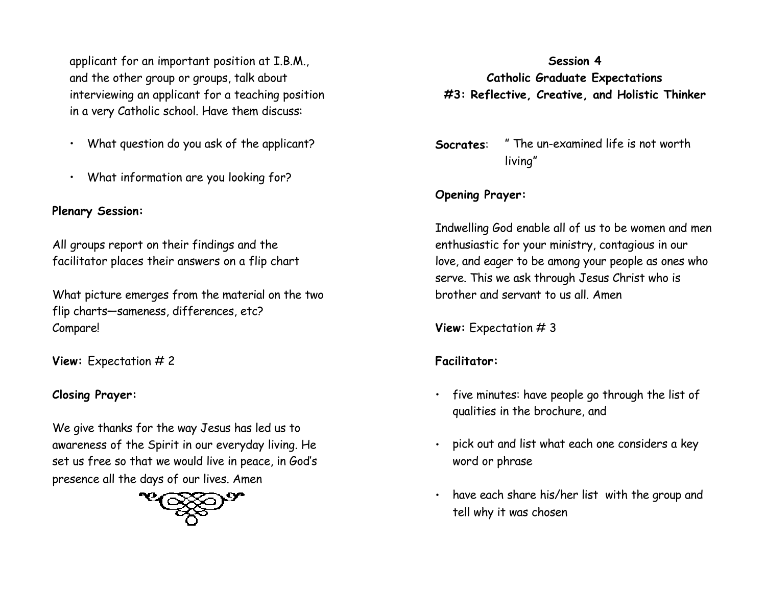applicant for an important position at I.B.M., and the other group or groups, talk about interviewing an applicant for a teaching position in a very Catholic school. Have them discuss:

- What question do you ask of the applicant?
- What information are you looking for?

## **Plenary Session:**

All groups report on their findings and the facilitator places their answers on a flip chart

What picture emerges from the material on the two flip charts—sameness, differences, etc? Compare!

**View:** Expectation # 2

## **Closing Prayer:**

We give thanks for the way Jesus has led us to awareness of the Spirit in our everyday living. He set us free so that we would live in peace, in God's presence all the days of our lives. Amen



# **Session 4 Catholic Graduate Expectations #3: Reflective, Creative, and Holistic Thinker**

**Socrates**: " The un-examined life is not worth living"

## **Opening Prayer:**

Indwelling God enable all of us to be women and men enthusiastic for your ministry, contagious in our love, and eager to be among your people as ones who serve. This we ask through Jesus Christ who is brother and servant to us all. Amen

**View:** Expectation # 3

## **Facilitator:**

- five minutes: have people go through the list of qualities in the brochure, and
- pick out and list what each one considers a key word or phrase
- have each share his/her list with the group and tell why it was chosen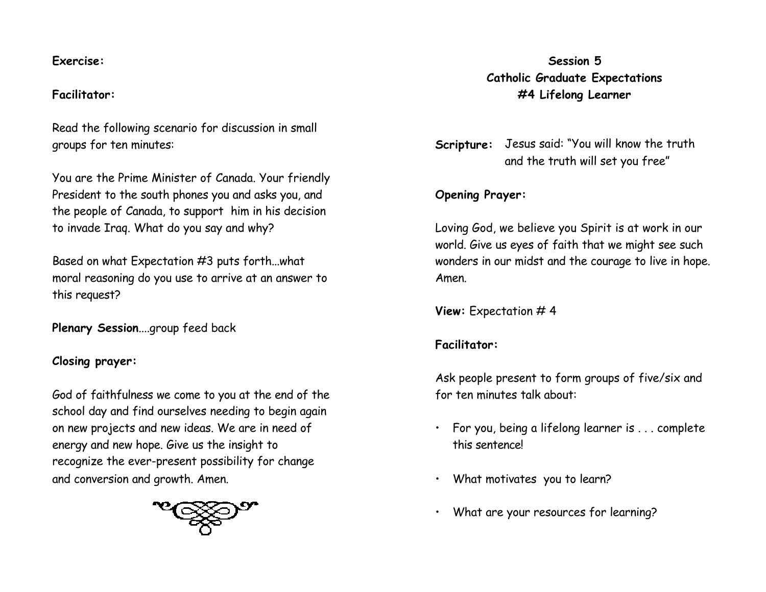#### **Exercise:**

### **Facilitator:**

Read the following scenario for discussion in small groups for ten minutes:

You are the Prime Minister of Canada. Your friendly President to the south phones you and asks you, and the people of Canada, to support him in his decision to invade Iraq. What do you say and why?

Based on what Expectation #3 puts forth...what moral reasoning do you use to arrive at an answer to this request?

**Plenary Session**....group feed back

### **Closing prayer:**

God of faithfulness we come to you at the end of the school day and find ourselves needing to begin again on new projects and new ideas. We are in need of energy and new hope. Give us the insight to recognize the ever-present possibility for change and conversion and growth. Amen.



## **Session 5 Catholic Graduate Expectations #4 Lifelong Learner**

**Scripture:** Jesus said: "You will know the truth and the truth will set you free"

### **Opening Prayer:**

Loving God, we believe you Spirit is at work in our world. Give us eyes of faith that we might see such wonders in our midst and the courage to live in hope. Amen.

**View:** Expectation # 4

## **Facilitator:**

Ask people present to form groups of five/six and for ten minutes talk about:

- For you, being a lifelong learner is . . . complete this sentence!
- What motivates you to learn?
- What are your resources for learning?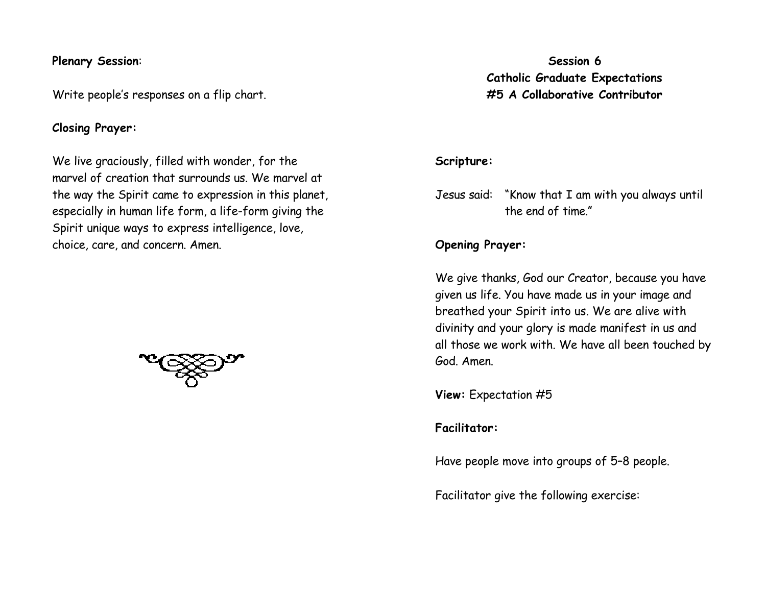#### **Plenary Session**:

Write people's responses on a flip chart.

#### **Closing Prayer:**

We live graciously, filled with wonder, for the marvel of creation that surrounds us. We marvel at the way the Spirit came to expression in this planet, especially in human life form, a life-form giving the Spirit unique ways to express intelligence, love, choice, care, and concern. Amen.



**Session 6 Catholic Graduate Expectations #5 A Collaborative Contributor**

#### **Scripture:**

Jesus said: "Know that I am with you always until the end of time."

#### **Opening Prayer:**

We give thanks, God our Creator, because you have given us life. You have made us in your image and breathed your Spirit into us. We are alive with divinity and your glory is made manifest in us and all those we work with. We have all been touched by God. Amen.

**View:** Expectation #5

#### **Facilitator:**

Have people move into groups of 5–8 people.

Facilitator give the following exercise: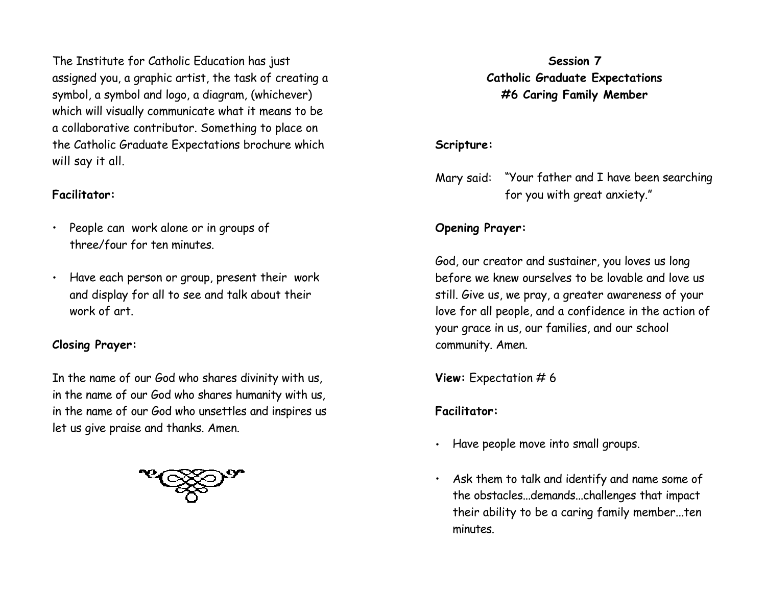The Institute for Catholic Education has just assigned you, a graphic artist, the task of creating a symbol, a symbol and logo, a diagram, (whichever) which will visually communicate what it means to be a collaborative contributor. Something to place on the Catholic Graduate Expectations brochure which will say it all.

### **Facilitator:**

- People can work alone or in groups of three/four for ten minutes.
- Have each person or group, present their work and display for all to see and talk about their work of art.

## **Closing Prayer:**

In the name of our God who shares divinity with us, in the name of our God who shares humanity with us, in the name of our God who unsettles and inspires us let us give praise and thanks. Amen.



## **Session 7 Catholic Graduate Expectations #6 Caring Family Member**

## **Scripture:**

Mary said: "Your father and I have been searching for you with great anxiety."

# **Opening Prayer:**

God, our creator and sustainer, you loves us long before we knew ourselves to be lovable and love us still. Give us, we pray, a greater awareness of your love for all people, and a confidence in the action of your grace in us, our families, and our school community. Amen.

**View:** Expectation # 6

## **Facilitator:**

- Have people move into small groups.
- Ask them to talk and identify and name some of the obstacles...demands...challenges that impact their ability to be a caring family member...ten minutes.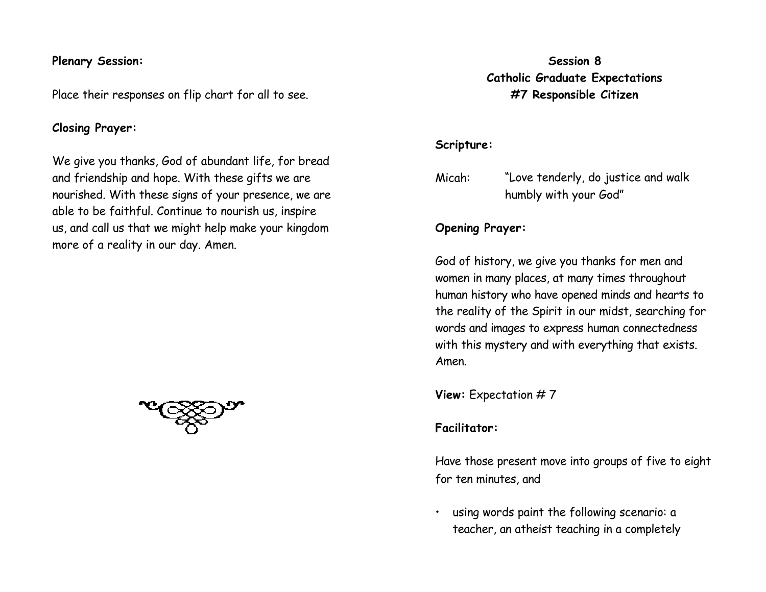#### **Plenary Session:**

Place their responses on flip chart for all to see.

#### **Closing Prayer:**

We give you thanks, God of abundant life, for bread and friendship and hope. With these gifts we are nourished. With these signs of your presence, we are able to be faithful. Continue to nourish us, inspire us, and call us that we might help make your kingdom more of a reality in our day. Amen.



## **Session 8 Catholic Graduate Expectations #7 Responsible Citizen**

#### **Scripture:**

Micah: "Love tenderly, do justice and walk humbly with your God"

#### **Opening Prayer:**

God of history, we give you thanks for men and women in many places, at many times throughout human history who have opened minds and hearts to the reality of the Spirit in our midst, searching for words and images to express human connectedness with this mystery and with everything that exists. Amen.

**View:** Expectation # 7

### **Facilitator:**

Have those present move into groups of five to eight for ten minutes, and

• using words paint the following scenario: a teacher, an atheist teaching in a completely